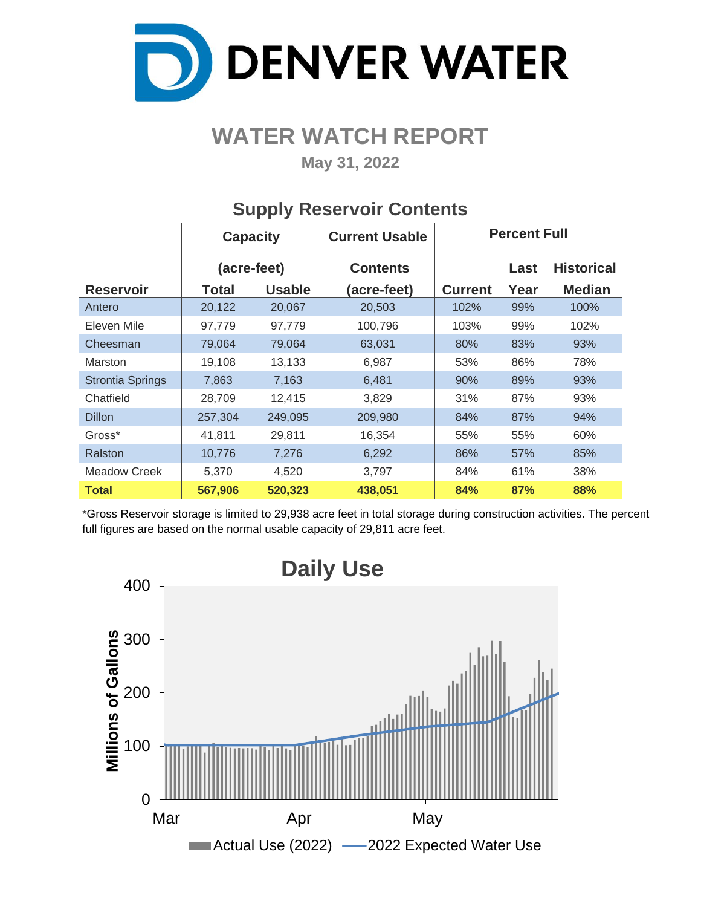

# **WATER WATCH REPORT**

**May 31, 2022**

|                         | <b>Capacity</b> |               | <b>Current Usable</b> | <b>Percent Full</b> |      |                   |  |  |  |  |
|-------------------------|-----------------|---------------|-----------------------|---------------------|------|-------------------|--|--|--|--|
|                         | (acre-feet)     |               | <b>Contents</b>       |                     | Last | <b>Historical</b> |  |  |  |  |
| <b>Reservoir</b>        | Total           | <b>Usable</b> | (acre-feet)           | <b>Current</b>      | Year | <b>Median</b>     |  |  |  |  |
| Antero                  | 20,122          | 20,067        | 20,503                | 102%                | 99%  | 100%              |  |  |  |  |
| Eleven Mile             | 97,779          | 97,779        | 100,796               | 103%                | 99%  | 102%              |  |  |  |  |
| Cheesman                | 79,064          | 79,064        | 63,031                | 80%                 | 83%  | 93%               |  |  |  |  |
| Marston                 | 19,108          | 13,133        | 6,987                 | 53%                 | 86%  | 78%               |  |  |  |  |
| <b>Strontia Springs</b> | 7,863           | 7,163         | 6,481                 | 90%                 | 89%  | 93%               |  |  |  |  |
| Chatfield               | 28,709          | 12,415        | 3,829                 | 31%                 | 87%  | 93%               |  |  |  |  |
| <b>Dillon</b>           | 257,304         | 249,095       | 209,980               | 84%                 | 87%  | 94%               |  |  |  |  |
| Gross*                  | 41,811          | 29,811        | 16,354                | 55%                 | 55%  | 60%               |  |  |  |  |
| Ralston                 | 10,776          | 7,276         | 6,292                 | 86%                 | 57%  | 85%               |  |  |  |  |
| <b>Meadow Creek</b>     | 5,370           | 4,520         | 3,797                 | 84%                 | 61%  | 38%               |  |  |  |  |
| <b>Total</b>            | 567,906         | 520,323       | 438,051               | 84%                 | 87%  | 88%               |  |  |  |  |

## **Supply Reservoir Contents**

\*Gross Reservoir storage is limited to 29,938 acre feet in total storage during construction activities. The percent full figures are based on the normal usable capacity of 29,811 acre feet.

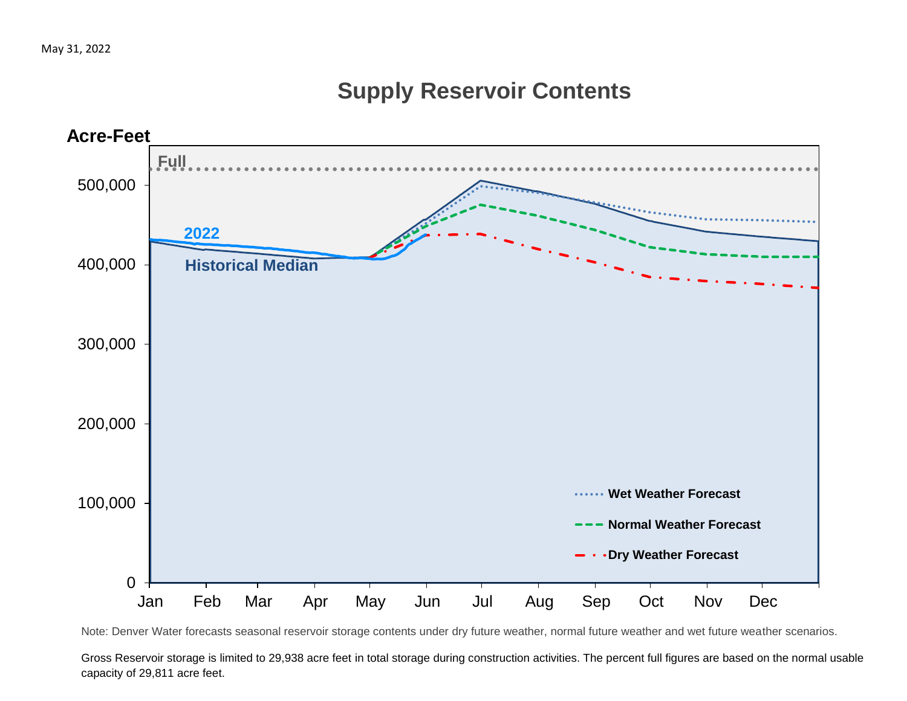# **Supply Reservoir Contents**



Note: Denver Water forecasts seasonal reservoir storage contents under dry future weather, normal future weather and wet future weather scenarios.

Gross Reservoir storage is limited to 29,938 acre feet in total storage during construction activities. The percent full figures are based on the normal usable capacity of 29,811 acre feet.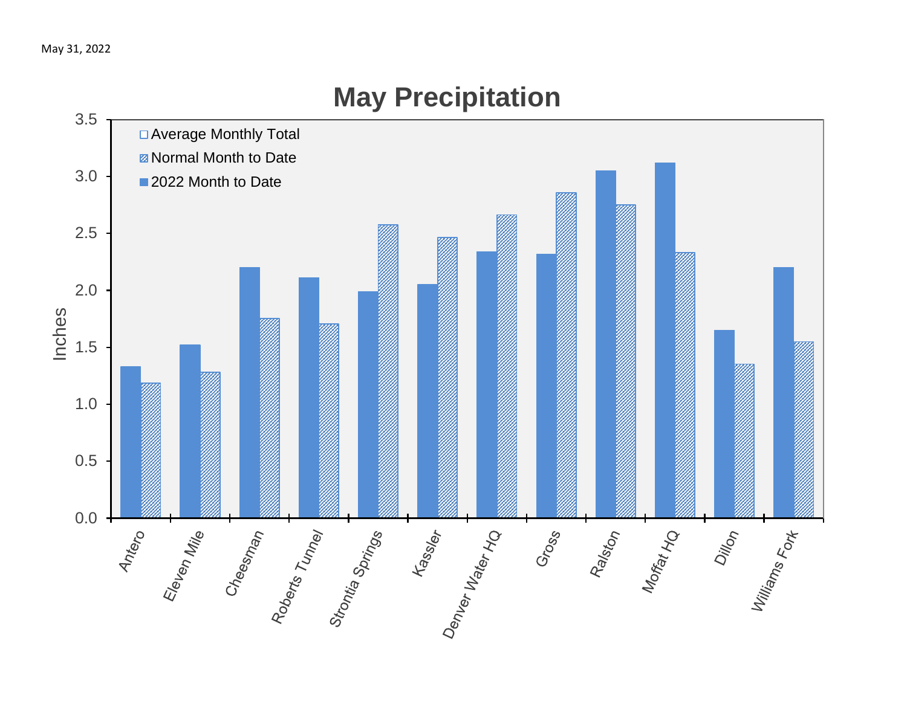

# **May Precipitation**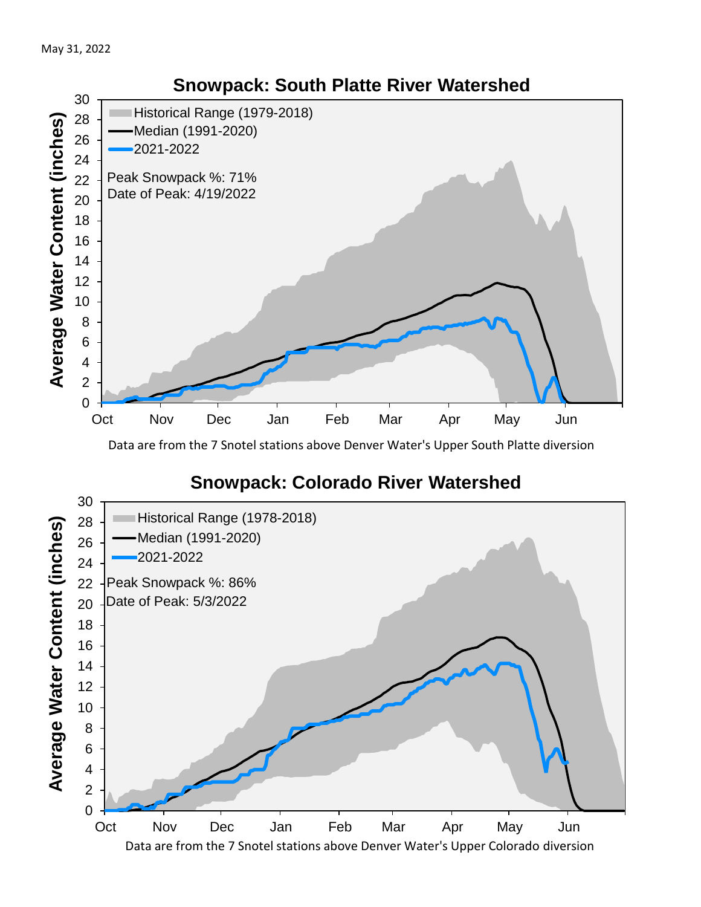

Data are from the 7 Snotel stations above Denver Water's Upper South Platte diversion

## **Snowpack: Colorado River Watershed**



### **Snowpack: South Platte River Watershed**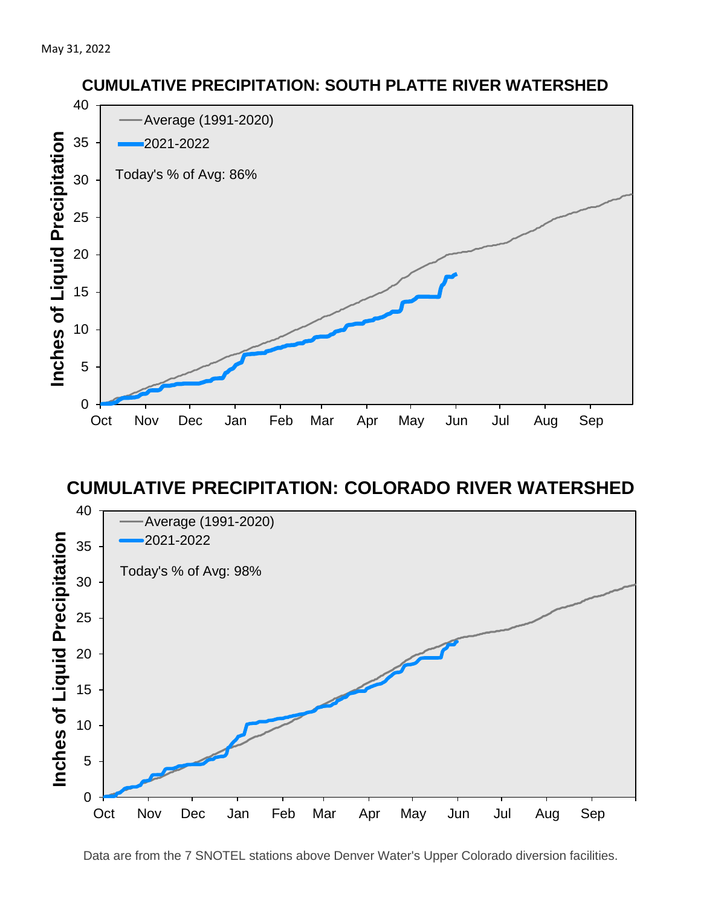

### **CUMULATIVE PRECIPITATION: COLORADO RIVER WATERSHED**



Data are from the 7 SNOTEL stations above Denver Water's Upper Colorado diversion facilities.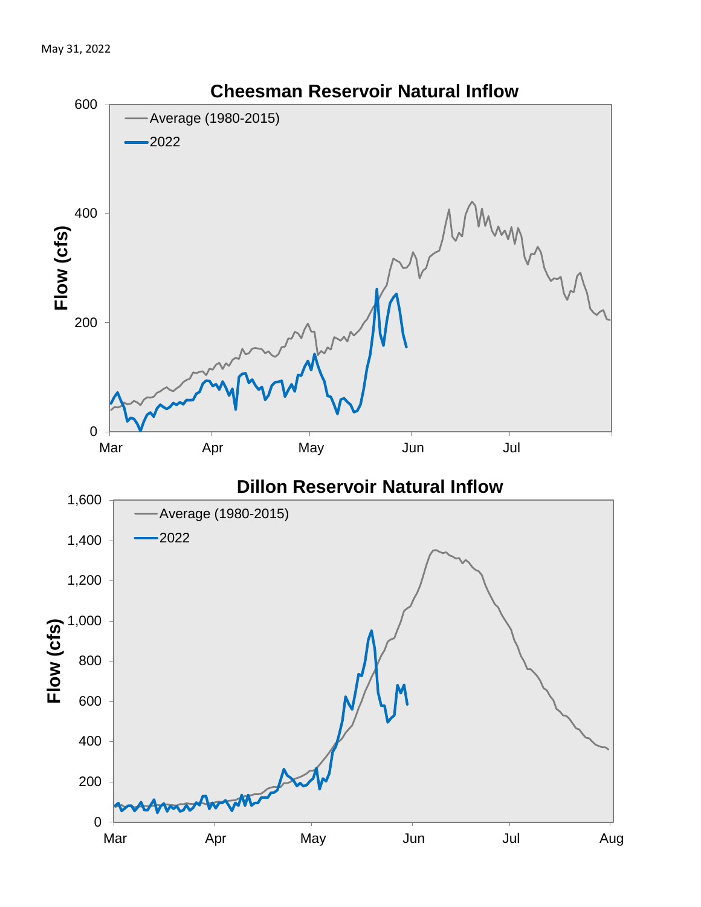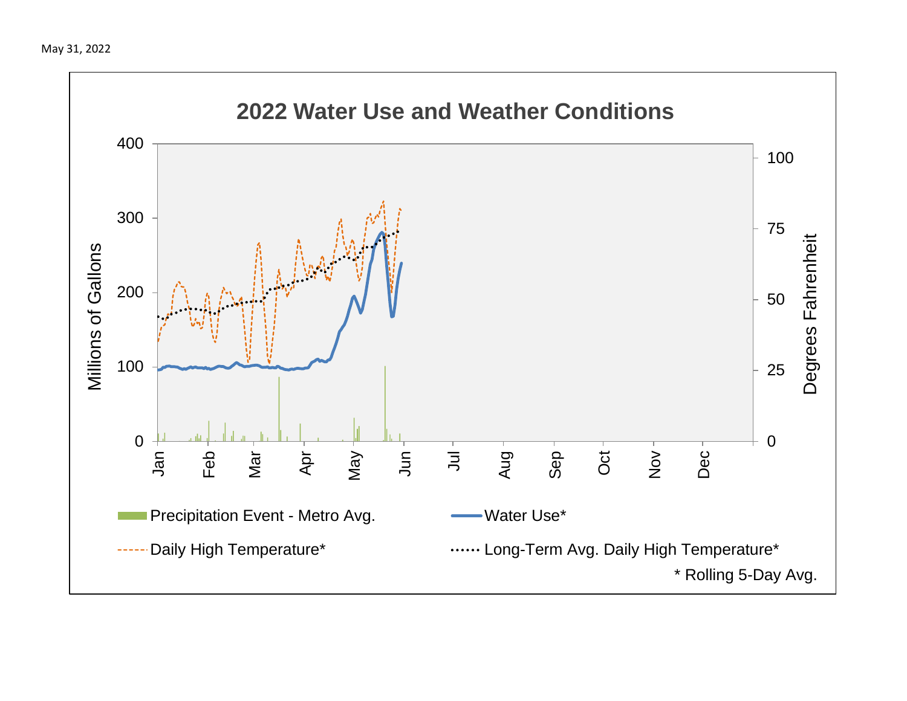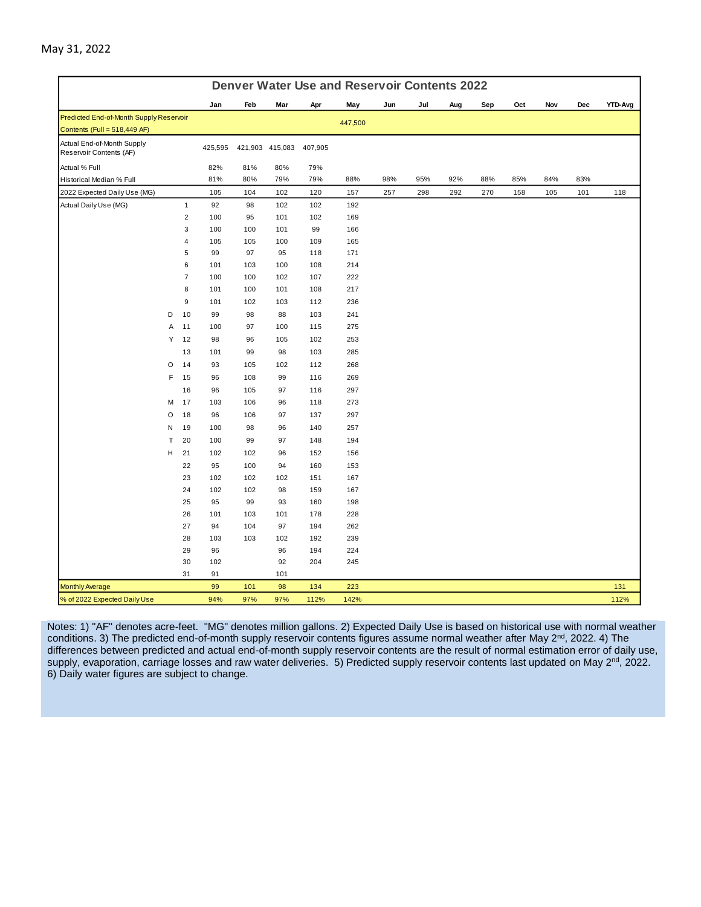| <b>Denver Water Use and Reservoir Contents 2022</b>   |   |                |         |     |                 |         |         |     |     |     |     |     |     |     |                |
|-------------------------------------------------------|---|----------------|---------|-----|-----------------|---------|---------|-----|-----|-----|-----|-----|-----|-----|----------------|
|                                                       |   |                | Jan     | Feb | Mar             | Apr     | May     | Jun | Jul | Aug | Sep | Oct | Nov | Dec | <b>YTD-Avg</b> |
| Predicted End-of-Month Supply Reservoir               |   |                |         |     |                 |         | 447,500 |     |     |     |     |     |     |     |                |
| Contents (Full = 518,449 AF)                          |   |                |         |     |                 |         |         |     |     |     |     |     |     |     |                |
| Actual End-of-Month Supply<br>Reservoir Contents (AF) |   |                | 425,595 |     | 421,903 415,083 | 407,905 |         |     |     |     |     |     |     |     |                |
| Actual % Full                                         |   |                | 82%     | 81% | 80%             | 79%     |         |     |     |     |     |     |     |     |                |
| Historical Median % Full                              |   |                | 81%     | 80% | 79%             | 79%     | 88%     | 98% | 95% | 92% | 88% | 85% | 84% | 83% |                |
| 2022 Expected Daily Use (MG)                          |   |                | 105     | 104 | 102             | 120     | 157     | 257 | 298 | 292 | 270 | 158 | 105 | 101 | 118            |
| Actual Daily Use (MG)                                 |   | $\mathbf{1}$   | 92      | 98  | 102             | 102     | 192     |     |     |     |     |     |     |     |                |
|                                                       |   | $\overline{2}$ | 100     | 95  | 101             | 102     | 169     |     |     |     |     |     |     |     |                |
|                                                       |   | 3              | 100     | 100 | 101             | 99      | 166     |     |     |     |     |     |     |     |                |
|                                                       |   | $\overline{4}$ | 105     | 105 | 100             | 109     | 165     |     |     |     |     |     |     |     |                |
|                                                       |   | 5              | 99      | 97  | 95              | 118     | 171     |     |     |     |     |     |     |     |                |
|                                                       |   | 6              | 101     | 103 | 100             | 108     | 214     |     |     |     |     |     |     |     |                |
|                                                       |   | $\overline{7}$ | 100     | 100 | 102             | 107     | 222     |     |     |     |     |     |     |     |                |
|                                                       |   | 8              | 101     | 100 | 101             | 108     | 217     |     |     |     |     |     |     |     |                |
|                                                       |   | 9              | 101     | 102 | 103             | 112     | 236     |     |     |     |     |     |     |     |                |
|                                                       | D | 10             | 99      | 98  | 88              | 103     | 241     |     |     |     |     |     |     |     |                |
|                                                       | Α | 11             | 100     | 97  | 100             | 115     | 275     |     |     |     |     |     |     |     |                |
|                                                       | Υ | 12             | 98      | 96  | 105             | 102     | 253     |     |     |     |     |     |     |     |                |
|                                                       |   | 13             | 101     | 99  | 98              | 103     | 285     |     |     |     |     |     |     |     |                |
|                                                       | O | 14             | 93      | 105 | 102             | 112     | 268     |     |     |     |     |     |     |     |                |
|                                                       | F | 15             | 96      | 108 | 99              | 116     | 269     |     |     |     |     |     |     |     |                |
|                                                       |   | 16             | 96      | 105 | 97              | 116     | 297     |     |     |     |     |     |     |     |                |
|                                                       | м | 17             | 103     | 106 | 96              | 118     | 273     |     |     |     |     |     |     |     |                |
|                                                       | O | 18             | 96      | 106 | 97              | 137     | 297     |     |     |     |     |     |     |     |                |
|                                                       | N | 19             | 100     | 98  | 96              | 140     | 257     |     |     |     |     |     |     |     |                |
|                                                       | Т | 20             | 100     | 99  | 97              | 148     | 194     |     |     |     |     |     |     |     |                |
|                                                       | H | 21             | 102     | 102 | 96              | 152     | 156     |     |     |     |     |     |     |     |                |
|                                                       |   | 22             | 95      | 100 | 94              | 160     | 153     |     |     |     |     |     |     |     |                |
|                                                       |   | 23             | 102     | 102 | 102             | 151     | 167     |     |     |     |     |     |     |     |                |
|                                                       |   | 24             | 102     | 102 | 98              | 159     | 167     |     |     |     |     |     |     |     |                |
|                                                       |   | 25             | 95      | 99  | 93              | 160     | 198     |     |     |     |     |     |     |     |                |
|                                                       |   | 26             | 101     | 103 | 101             | 178     | 228     |     |     |     |     |     |     |     |                |
|                                                       |   | 27             | 94      | 104 | 97              | 194     | 262     |     |     |     |     |     |     |     |                |
|                                                       |   | 28             | 103     | 103 | 102             | 192     | 239     |     |     |     |     |     |     |     |                |
|                                                       |   | 29             | 96      |     | 96              | 194     | 224     |     |     |     |     |     |     |     |                |
|                                                       |   | 30             | 102     |     | 92              | 204     | 245     |     |     |     |     |     |     |     |                |
|                                                       |   | 31             | 91      |     | 101             |         |         |     |     |     |     |     |     |     |                |
| <b>Monthly Average</b>                                |   |                | 99      | 101 | 98              | 134     | 223     |     |     |     |     |     |     |     | 131            |
| % of 2022 Expected Daily Use                          |   |                | 94%     | 97% | 97%             | 112%    | 142%    |     |     |     |     |     |     |     | 112%           |

Notes: 1) "AF" denotes acre-feet. "MG" denotes million gallons. 2) Expected Daily Use is based on historical use with normal weather conditions. 3) The predicted end-of-month supply reservoir contents figures assume normal weather after May 2<sup>nd</sup>, 2022. 4) The differences between predicted and actual end-of-month supply reservoir contents are the result of normal estimation error of daily use, supply, evaporation, carriage losses and raw water deliveries. 5) Predicted supply reservoir contents last updated on May 2<sup>nd</sup>, 2022. 6) Daily water figures are subject to change.